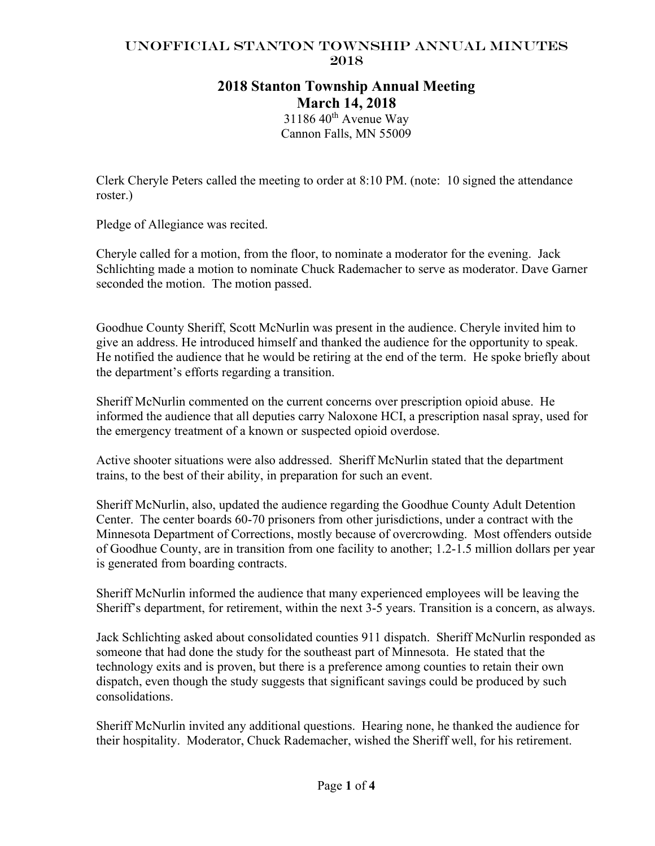# 2018 Stanton Township Annual Meeting March 14, 2018

 $31186$  40<sup>th</sup> Avenue Way Cannon Falls, MN 55009

Clerk Cheryle Peters called the meeting to order at 8:10 PM. (note: 10 signed the attendance roster.)

Pledge of Allegiance was recited.

Cheryle called for a motion, from the floor, to nominate a moderator for the evening. Jack Schlichting made a motion to nominate Chuck Rademacher to serve as moderator. Dave Garner seconded the motion. The motion passed.

Goodhue County Sheriff, Scott McNurlin was present in the audience. Cheryle invited him to give an address. He introduced himself and thanked the audience for the opportunity to speak. He notified the audience that he would be retiring at the end of the term. He spoke briefly about the department's efforts regarding a transition.

Sheriff McNurlin commented on the current concerns over prescription opioid abuse. He informed the audience that all deputies carry Naloxone HCI, a prescription nasal spray, used for the emergency treatment of a known or suspected opioid overdose.

Active shooter situations were also addressed. Sheriff McNurlin stated that the department trains, to the best of their ability, in preparation for such an event.

Sheriff McNurlin, also, updated the audience regarding the Goodhue County Adult Detention Center. The center boards 60-70 prisoners from other jurisdictions, under a contract with the Minnesota Department of Corrections, mostly because of overcrowding. Most offenders outside of Goodhue County, are in transition from one facility to another; 1.2-1.5 million dollars per year is generated from boarding contracts.

Sheriff McNurlin informed the audience that many experienced employees will be leaving the Sheriff's department, for retirement, within the next 3-5 years. Transition is a concern, as always.

Jack Schlichting asked about consolidated counties 911 dispatch. Sheriff McNurlin responded as someone that had done the study for the southeast part of Minnesota. He stated that the technology exits and is proven, but there is a preference among counties to retain their own dispatch, even though the study suggests that significant savings could be produced by such consolidations.

Sheriff McNurlin invited any additional questions. Hearing none, he thanked the audience for their hospitality. Moderator, Chuck Rademacher, wished the Sheriff well, for his retirement.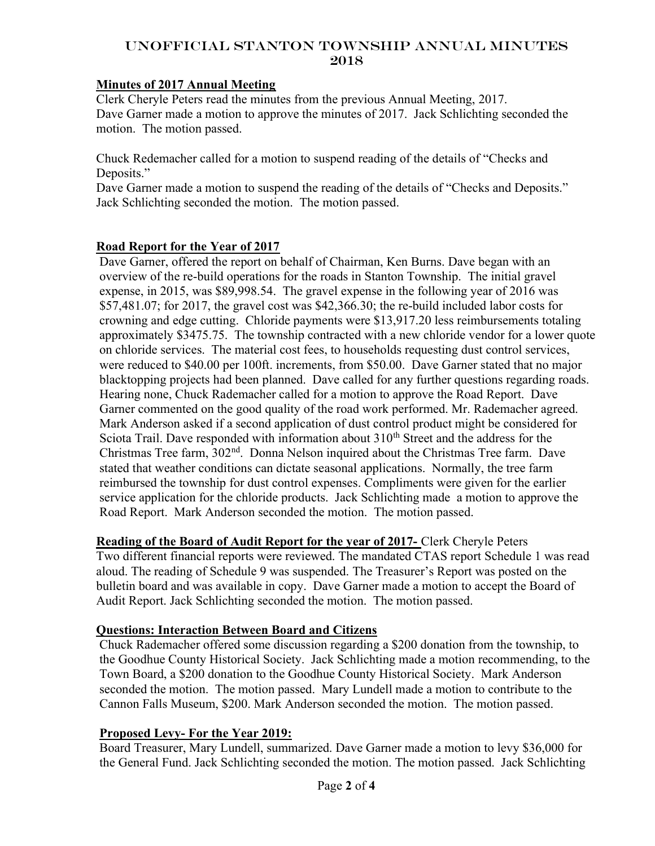#### Minutes of 2017 Annual Meeting

Clerk Cheryle Peters read the minutes from the previous Annual Meeting, 2017. Dave Garner made a motion to approve the minutes of 2017. Jack Schlichting seconded the motion. The motion passed.

Chuck Redemacher called for a motion to suspend reading of the details of "Checks and Deposits."

Dave Garner made a motion to suspend the reading of the details of "Checks and Deposits." Jack Schlichting seconded the motion. The motion passed.

#### Road Report for the Year of 2017

Dave Garner, offered the report on behalf of Chairman, Ken Burns. Dave began with an overview of the re-build operations for the roads in Stanton Township. The initial gravel expense, in 2015, was \$89,998.54. The gravel expense in the following year of 2016 was \$57,481.07; for 2017, the gravel cost was \$42,366.30; the re-build included labor costs for crowning and edge cutting. Chloride payments were \$13,917.20 less reimbursements totaling approximately \$3475.75. The township contracted with a new chloride vendor for a lower quote on chloride services. The material cost fees, to households requesting dust control services, were reduced to \$40.00 per 100ft. increments, from \$50.00. Dave Garner stated that no major blacktopping projects had been planned. Dave called for any further questions regarding roads. Hearing none, Chuck Rademacher called for a motion to approve the Road Report. Dave Garner commented on the good quality of the road work performed. Mr. Rademacher agreed. Mark Anderson asked if a second application of dust control product might be considered for Sciota Trail. Dave responded with information about  $310<sup>th</sup>$  Street and the address for the Christmas Tree farm, 302<sup>nd</sup>. Donna Nelson inquired about the Christmas Tree farm. Dave stated that weather conditions can dictate seasonal applications. Normally, the tree farm reimbursed the township for dust control expenses. Compliments were given for the earlier service application for the chloride products. Jack Schlichting made a motion to approve the Road Report. Mark Anderson seconded the motion. The motion passed.

Reading of the Board of Audit Report for the year of 2017- Clerk Cheryle Peters Two different financial reports were reviewed. The mandated CTAS report Schedule 1 was read

aloud. The reading of Schedule 9 was suspended. The Treasurer's Report was posted on the bulletin board and was available in copy. Dave Garner made a motion to accept the Board of Audit Report. Jack Schlichting seconded the motion. The motion passed.

#### Questions: Interaction Between Board and Citizens

Chuck Rademacher offered some discussion regarding a \$200 donation from the township, to the Goodhue County Historical Society. Jack Schlichting made a motion recommending, to the Town Board, a \$200 donation to the Goodhue County Historical Society. Mark Anderson seconded the motion. The motion passed. Mary Lundell made a motion to contribute to the Cannon Falls Museum, \$200. Mark Anderson seconded the motion. The motion passed.

#### Proposed Levy- For the Year 2019:

Board Treasurer, Mary Lundell, summarized. Dave Garner made a motion to levy \$36,000 for the General Fund. Jack Schlichting seconded the motion. The motion passed. Jack Schlichting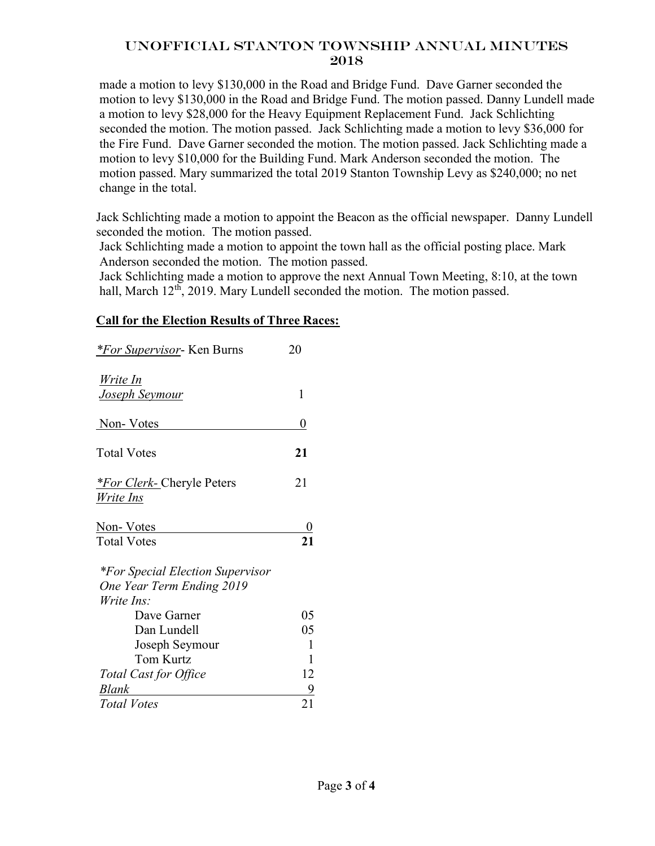made a motion to levy \$130,000 in the Road and Bridge Fund. Dave Garner seconded the motion to levy \$130,000 in the Road and Bridge Fund. The motion passed. Danny Lundell made a motion to levy \$28,000 for the Heavy Equipment Replacement Fund. Jack Schlichting seconded the motion. The motion passed. Jack Schlichting made a motion to levy \$36,000 for the Fire Fund. Dave Garner seconded the motion. The motion passed. Jack Schlichting made a motion to levy \$10,000 for the Building Fund. Mark Anderson seconded the motion. The motion passed. Mary summarized the total 2019 Stanton Township Levy as \$240,000; no net change in the total.

Jack Schlichting made a motion to appoint the Beacon as the official newspaper. Danny Lundell seconded the motion. The motion passed.

Jack Schlichting made a motion to appoint the town hall as the official posting place. Mark Anderson seconded the motion. The motion passed.

Jack Schlichting made a motion to approve the next Annual Town Meeting, 8:10, at the town hall, March 12<sup>th</sup>, 2019. Mary Lundell seconded the motion. The motion passed.

#### Call for the Election Results of Three Races:

| <i>*For Supervisor</i> - Ken Burns      | 20 |
|-----------------------------------------|----|
| Write In                                |    |
| <b>Joseph Seymour</b>                   | 1  |
| <u>Non-Votes</u>                        | 0  |
| Total Votes                             | 21 |
| <i>*For Clerk</i> -Cheryle Peters       | 21 |
| Write Ins                               |    |
| <u>Non-Votes</u>                        |    |
| <b>Total Votes</b>                      | 21 |
| <i>*For Special Election Supervisor</i> |    |
| One Year Term Ending 2019               |    |
| Write Ins:                              |    |
| Dave Garner                             | 05 |
| Dan Lundell                             | 05 |
| Joseph Seymour                          | 1  |
| Tom Kurtz                               | 1  |
| Total Cast for Office                   | 12 |
| <b>Blank</b>                            | 9  |
| <b>Total Votes</b>                      | 21 |